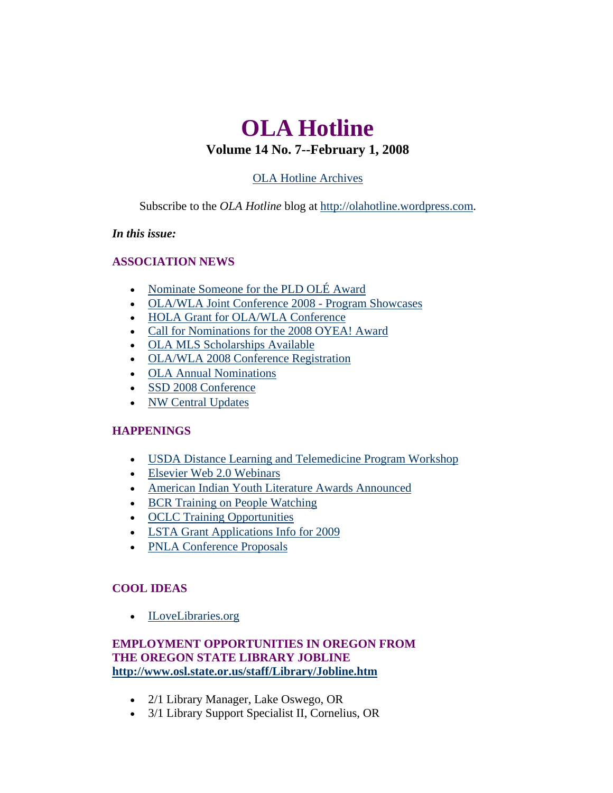# **OLA Hotline**

# **Volume 14 No. 7--February 1, 2008**

# [OLA Hotline Archives](http://olaweb.org/hotline/index.shtml)

<span id="page-0-0"></span>Subscribe to the *OLA Hotline* blog at [http://olahotline.wordpress.com.](http://olahotline.wordpress.com/)

## *In this issue:*

## **ASSOCIATION NEWS**

- [Nominate Someone for the PLD OLÉ Award](#page-1-0)
- [OLA/WLA Joint Conference 2008 Program Showcases](#page-2-0)
- [HOLA Grant for OLA/WLA Conference](#page-2-0)
- [Call for Nominations for the 2008 OYEA! Award](#page-3-0)
- [OLA MLS Scholarships Available](#page-4-0)
- [OLA/WLA 2008 Conference Registration](#page-5-0)
- [OLA Annual Nominations](#page-5-0)
- [SSD 2008 Conference](#page-6-0)
- [NW Central Updates](#page-7-0)

# **HAPPENINGS**

- [USDA Distance Learning and Telemedicine Program Workshop](#page-8-0)
- [Elsevier Web 2.0 Webinars](#page-7-0)
- [American Indian Youth Literature Awards Announced](#page-8-0)
- [BCR Training on People Watching](#page-8-0)
- [OCLC Training Opportunities](#page-9-0)
- [LSTA Grant Applications Info for 2009](#page-9-0)
- [PNLA Conference Proposals](#page-10-0)

# **COOL IDEAS**

• [ILoveLibraries.org](#page-0-0)

# **EMPLOYMENT OPPORTUNITIES IN ORE[G](http://www.osl.state.or.us/staff/Library/Jobline.htm)ON FROM THE OREGON STATE LIBRARY JOBLINE <http://www.osl.state.or.us/staff/Library/Jobline.htm>**

- 2/1 Library Manager, Lake Oswego, OR
- 3/1 Library Support Specialist II, Cornelius, OR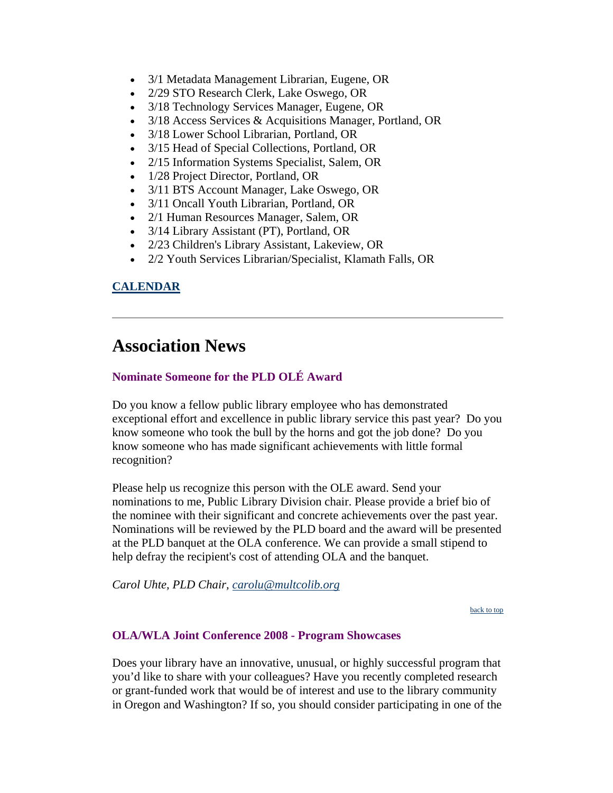- <span id="page-1-0"></span>• 3/1 Metadata Management Librarian, Eugene, OR
- 2/29 STO Research Clerk, Lake Oswego, OR
- 3/18 Technology Services Manager, Eugene, OR
- 3/18 Access Services & Acquisitions Manager, Portland, OR
- 3/18 Lower School Librarian, Portland, OR
- 3/15 Head of Special Collections, Portland, OR
- 2/15 Information Systems Specialist, Salem, OR
- 1/28 Project Director, Portland, OR
- 3/11 BTS Account Manager, Lake Oswego, OR
- 3/11 Oncall Youth Librarian, Portland, OR
- 2/1 Human Resources Manager, Salem, OR
- 3/14 Library Assistant (PT), Portland, OR
- 2/23 Children's Library Assistant, Lakeview, OR
- 2/2 Youth Services Librarian/Specialist, Klamath Falls, OR

### **[CALENDAR](http://web.memberclicks.com/mc/community/vieweventcalendar.do?orgId=ola)**

# **Association News**

### **Nominate Someone for the PLD OLÉ Award**

Do you know a fellow public library employee who has demonstrated exceptional effort and excellence in public library service this past year? Do you know someone who took the bull by the horns and got the job done? Do you know someone who has made significant achievements with little formal recognition?

Please help us recognize this person with the OLE award. Send your nominations to me, Public Library Division chair. Please provide a brief bio of the nominee with their significant and concrete achievements over the past year. Nominations will be reviewed by the PLD board and the award will be presented at the PLD banquet at the OLA conference. We can provide a small stipend to help defray the recipient's cost of attending OLA and the banquet.

*Carol Uhte, PLD Chair, [carolu@multcolib.org](mailto:carolu@multcolib.org)*

[back to top](#page-0-0)

#### **OLA/WLA Joint Conference 2008 - Program Showcases**

Does your library have an innovative, unusual, or highly successful program that you'd like to share with your colleagues? Have you recently completed research or grant-funded work that would be of interest and use to the library community in Oregon and Washington? If so, you should consider participating in one of the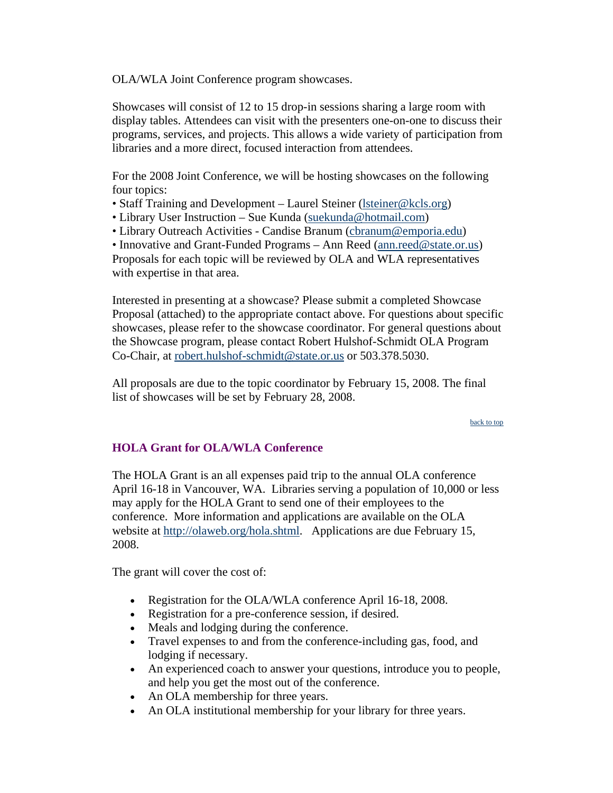<span id="page-2-0"></span>OLA/WLA Joint Conference program showcases.

Showcases will consist of 12 to 15 drop-in sessions sharing a large room with display tables. Attendees can visit with the presenters one-on-one to discuss their programs, services, and projects. This allows a wide variety of participation from libraries and a more direct, focused interaction from attendees.

For the 2008 Joint Conference, we will be hosting showcases on the following four topics:

- Staff Training and Development Laurel Steiner (Isteiner@kcls.org)
- Library User Instruction Sue Kunda ([suekunda@hotmail.com\)](mailto:suekunda@hotmail.com)
- Library Outreach Activities Candise Branum [\(cbranum@emporia.edu\)](mailto:cbranum@emporia.edu)

• Innovative and Grant-Funded Programs – Ann Reed ([ann.reed@state.or.us](mailto:ann.reed@state.or.us)) Proposals for each topic will be reviewed by OLA and WLA representatives with expertise in that area.

Interested in presenting at a showcase? Please submit a completed Showcase Proposal (attached) to the appropriate contact above. For questions about specific showcases, please refer to the showcase coordinator. For general questions about the Showcase program, please contact Robert Hulshof-Schmidt OLA Program Co-Chair, at [robert.hulshof-schmidt@state.or.us](mailto:robert.hulshof-schmidt@state.or.us) or 503.378.5030.

All proposals are due to the topic coordinator by February 15, 2008. The final list of showcases will be set by February 28, 2008.

[back to top](#page-0-0)

# **HOLA Grant for OLA/WLA Conference**

The HOLA Grant is an all expenses paid trip to the annual OLA conference April 16-18 in Vancouver, WA. Libraries serving a population of 10,000 or less may apply for the HOLA Grant to send one of their employees to the conference. More information and applications are available on the OLA website at<http://olaweb.org/hola.shtml>. Applications are due February 15, 2008.

The grant will cover the cost of:

- Registration for the OLA/WLA conference April 16-18, 2008.
- Registration for a pre-conference session, if desired.
- Meals and lodging during the conference.
- Travel expenses to and from the conference-including gas, food, and lodging if necessary.
- An experienced coach to answer your questions, introduce you to people, and help you get the most out of the conference.
- An OLA membership for three years.
- An OLA institutional membership for your library for three years.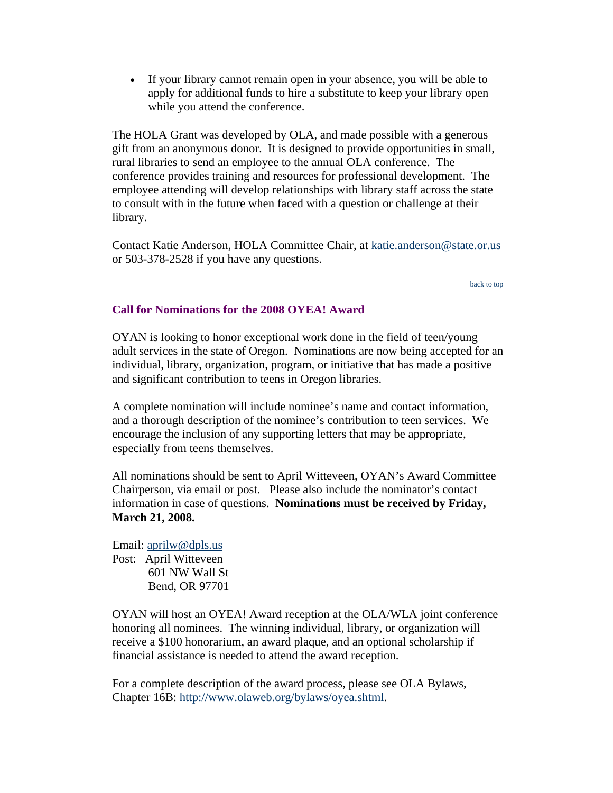<span id="page-3-0"></span>• If your library cannot remain open in your absence, you will be able to apply for additional funds to hire a substitute to keep your library open while you attend the conference.

The HOLA Grant was developed by OLA, and made possible with a generous gift from an anonymous donor. It is designed to provide opportunities in small, rural libraries to send an employee to the annual OLA conference. The conference provides training and resources for professional development. The employee attending will develop relationships with library staff across the state to consult with in the future when faced with a question or challenge at their library.

Contact Katie Anderson, HOLA Committee Chair, at [katie.anderson@state.or.us](mailto:katie.anderson@state.or.us) or 503-378-2528 if you have any questions.

[back to top](#page-0-0)

#### **Call for Nominations for the 2008 OYEA! Award**

OYAN is looking to honor exceptional work done in the field of teen/young adult services in the state of Oregon. Nominations are now being accepted for an individual, library, organization, program, or initiative that has made a positive and significant contribution to teens in Oregon libraries.

A complete nomination will include nominee's name and contact information, and a thorough description of the nominee's contribution to teen services. We encourage the inclusion of any supporting letters that may be appropriate, especially from teens themselves.

All nominations should be sent to April Witteveen, OYAN's Award Committee Chairperson, via email or post. Please also include the nominator's contact information in case of questions. **Nominations must be received by Friday, March 21, 2008.** 

Email: [aprilw@dpls.us](mailto:aprilw@dpls.us) Post: April Witteveen 601 NW Wall St Bend, OR 97701

OYAN will host an OYEA! Award reception at the OLA/WLA joint conference honoring all nominees. The winning individual, library, or organization will receive a \$100 honorarium, an award plaque, and an optional scholarship if financial assistance is needed to attend the award reception.

For a complete description of the award process, please see OLA Bylaws, Chapter 16B: [http://www.olaweb.org/bylaws/oyea.shtml.](http://www.olaweb.org/bylaws/oyea.shtml)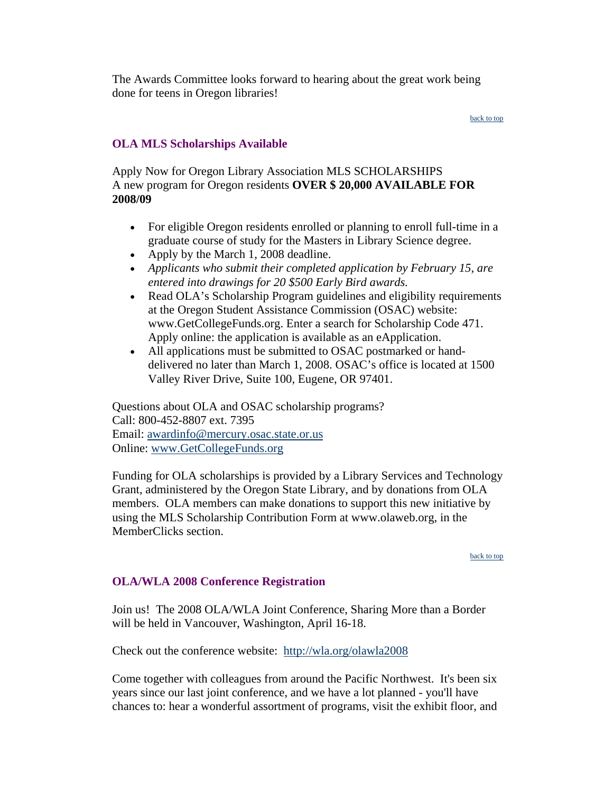<span id="page-4-0"></span>The Awards Committee looks forward to hearing about the great work being done for teens in Oregon libraries!

#### [back to top](#page-0-0)

### **OLA MLS Scholarships Available**

Apply Now for Oregon Library Association MLS SCHOLARSHIPS A new program for Oregon residents **OVER \$ 20,000 AVAILABLE FOR 2008/09**

- For eligible Oregon residents enrolled or planning to enroll full-time in a graduate course of study for the Masters in Library Science degree.
- Apply by the March 1, 2008 deadline.
- *Applicants who submit their completed application by February 15, are entered into drawings for 20 \$500 Early Bird awards.*
- Read OLA's Scholarship Program guidelines and eligibility requirements at the Oregon Student Assistance Commission (OSAC) website: www.GetCollegeFunds.org. Enter a search for Scholarship Code 471. Apply online: the application is available as an eApplication.
- All applications must be submitted to OSAC postmarked or handdelivered no later than March 1, 2008. OSAC's office is located at 1500 Valley River Drive, Suite 100, Eugene, OR 97401.

Questions about OLA and OSAC scholarship programs? Call: 800-452-8807 ext. 7395 Email: [awardinfo@mercury.osac.state.or.us](mailto:awardinfo@mercury.osac.state.or.us) Online: [www.GetCollegeFunds.org](http://www.getcollegefunds.org/)

Funding for OLA scholarships is provided by a Library Services and Technology Grant, administered by the Oregon State Library, and by donations from OLA members. OLA members can make donations to support this new initiative by using the MLS Scholarship Contribution Form at www.olaweb.org, in the MemberClicks section.

[back to top](#page-0-0)

#### **OLA/WLA 2008 Conference Registration**

Join us! The 2008 OLA/WLA Joint Conference, Sharing More than a Border will be held in Vancouver, Washington, April 16-18.

Check out the conference website: <http://wla.org/olawla2008>

Come together with colleagues from around the Pacific Northwest. It's been six years since our last joint conference, and we have a lot planned - you'll have chances to: hear a wonderful assortment of programs, visit the exhibit floor, and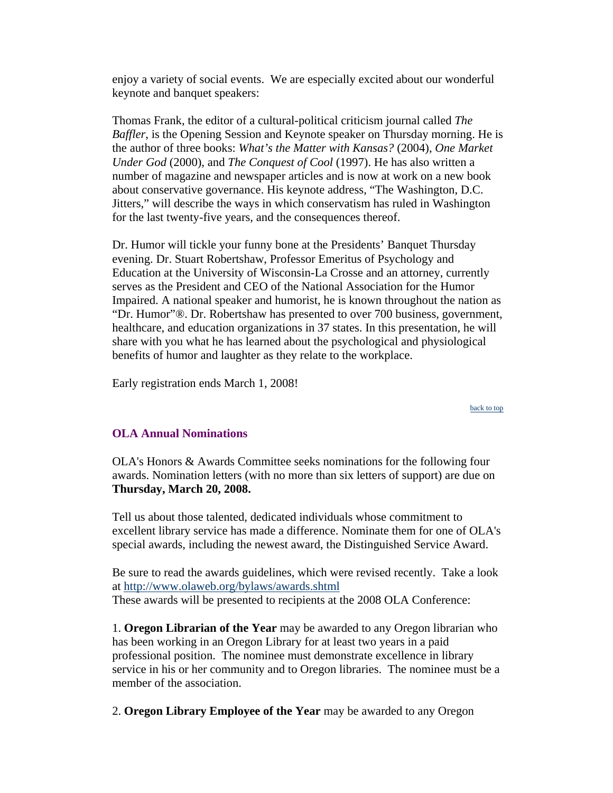<span id="page-5-0"></span>enjoy a variety of social events. We are especially excited about our wonderful keynote and banquet speakers:

Thomas Frank, the editor of a cultural-political criticism journal called *The Baffler*, is the Opening Session and Keynote speaker on Thursday morning. He is the author of three books: *What's the Matter with Kansas?* (2004), *One Market Under God* (2000), and *The Conquest of Cool* (1997). He has also written a number of magazine and newspaper articles and is now at work on a new book about conservative governance. His keynote address, "The Washington, D.C. Jitters," will describe the ways in which conservatism has ruled in Washington for the last twenty-five years, and the consequences thereof.

Dr. Humor will tickle your funny bone at the Presidents' Banquet Thursday evening. Dr. Stuart Robertshaw, Professor Emeritus of Psychology and Education at the University of Wisconsin-La Crosse and an attorney, currently serves as the President and CEO of the National Association for the Humor Impaired. A national speaker and humorist, he is known throughout the nation as "Dr. Humor"®. Dr. Robertshaw has presented to over 700 business, government, healthcare, and education organizations in 37 states. In this presentation, he will share with you what he has learned about the psychological and physiological benefits of humor and laughter as they relate to the workplace.

Early registration ends March 1, 2008!

[back to top](#page-0-0)

#### **OLA Annual Nominations**

OLA's Honors & Awards Committee seeks nominations for the following four awards. Nomination letters (with no more than six letters of support) are due on **Thursday, March 20, 2008.**

Tell us about those talented, dedicated individuals whose commitment to excellent library service has made a difference. Nominate them for one of OLA's special awards, including the newest award, the Distinguished Service Award.

Be sure to read the awards guidelines, which were revised recently. Take a look at <http://www.olaweb.org/bylaws/awards.shtml> These awards will be presented to recipients at the 2008 OLA Conference:

1. **Oregon Librarian of the Year** may be awarded to any Oregon librarian who has been working in an Oregon Library for at least two years in a paid professional position. The nominee must demonstrate excellence in library service in his or her community and to Oregon libraries. The nominee must be a member of the association.

2. **Oregon Library Employee of the Year** may be awarded to any Oregon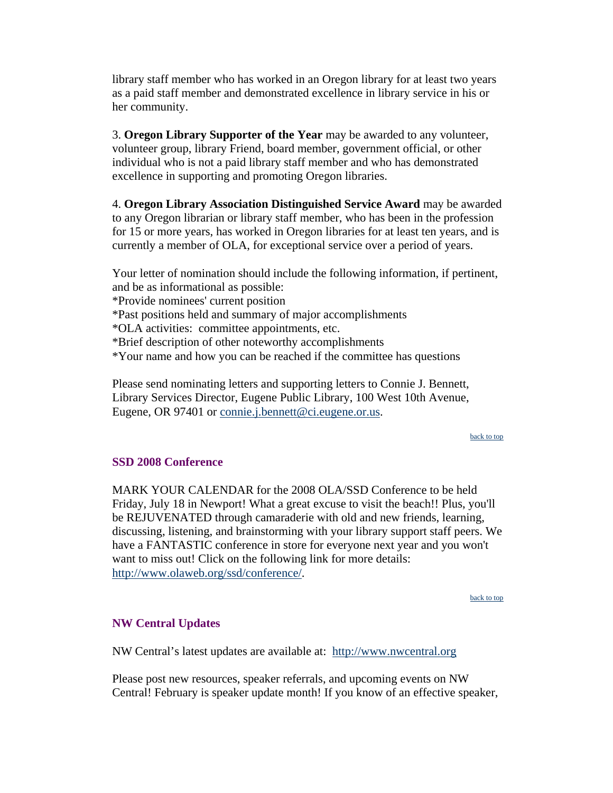<span id="page-6-0"></span>library staff member who has worked in an Oregon library for at least two years as a paid staff member and demonstrated excellence in library service in his or her community.

3. **Oregon Library Supporter of the Year** may be awarded to any volunteer, volunteer group, library Friend, board member, government official, or other individual who is not a paid library staff member and who has demonstrated excellence in supporting and promoting Oregon libraries.

4. **Oregon Library Association Distinguished Service Award** may be awarded to any Oregon librarian or library staff member, who has been in the profession for 15 or more years, has worked in Oregon libraries for at least ten years, and is currently a member of OLA, for exceptional service over a period of years.

Your letter of nomination should include the following information, if pertinent, and be as informational as possible:

\*Provide nominees' current position

\*Past positions held and summary of major accomplishments

\*OLA activities: committee appointments, etc.

\*Brief description of other noteworthy accomplishments

\*Your name and how you can be reached if the committee has questions

Please send nominating letters and supporting letters to Connie J. Bennett, Library Services Director, Eugene Public Library, 100 West 10th Avenue, Eugene, OR 97401 or [connie.j.bennett@ci.eugene.or.us.](mailto:connie.j.bennett@ci.eugene.or.us)

[back to top](#page-0-0)

#### **SSD 2008 Conference**

MARK YOUR CALENDAR for the 2008 OLA/SSD Conference to be held Friday, July 18 in Newport! What a great excuse to visit the beach!! Plus, you'll be REJUVENATED through camaraderie with old and new friends, learning, discussing, listening, and brainstorming with your library support staff peers. We have a FANTASTIC conference in store for everyone next year and you won't want to miss out! Click on the following link for more details: <http://www.olaweb.org/ssd/conference/>.

[back to top](#page-0-0)

#### **NW Central Updates**

NW Central's latest updates are available at: [http://www.nwcentral.org](http://www.nwcentral.org/)

Please post new resources, speaker referrals, and upcoming events on NW Central! February is speaker update month! If you know of an effective speaker,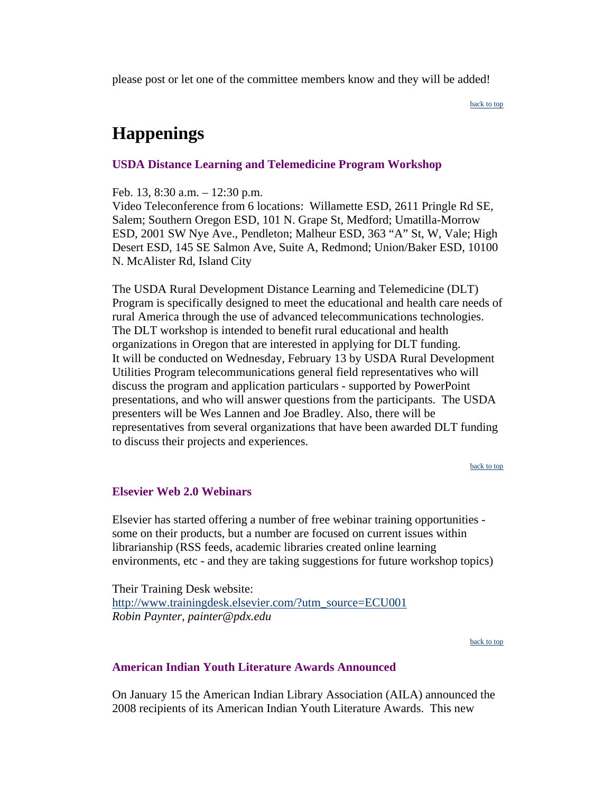<span id="page-7-0"></span>please post or let one of the committee members know and they will be added!

[back to top](#page-0-0)

# **Happenings**

### **USDA Distance Learning and Telemedicine Program Workshop**

Feb. 13, 8:30 a.m. – 12:30 p.m.

Video Teleconference from 6 locations: Willamette ESD, 2611 Pringle Rd SE, Salem; Southern Oregon ESD, 101 N. Grape St, Medford; Umatilla-Morrow ESD, 2001 SW Nye Ave., Pendleton; Malheur ESD, 363 "A" St, W, Vale; High Desert ESD, 145 SE Salmon Ave, Suite A, Redmond; Union/Baker ESD, 10100 N. McAlister Rd, Island City

The USDA Rural Development Distance Learning and Telemedicine (DLT) Program is specifically designed to meet the educational and health care needs of rural America through the use of advanced telecommunications technologies. The DLT workshop is intended to benefit rural educational and health organizations in Oregon that are interested in applying for DLT funding. It will be conducted on Wednesday, February 13 by USDA Rural Development Utilities Program telecommunications general field representatives who will discuss the program and application particulars - supported by PowerPoint presentations, and who will answer questions from the participants. The USDA presenters will be Wes Lannen and Joe Bradley. Also, there will be representatives from several organizations that have been awarded DLT funding to discuss their projects and experiences.

[back to top](#page-0-0)

#### **Elsevier Web 2.0 Webinars**

Elsevier has started offering a number of free webinar training opportunities some on their products, but a number are focused on current issues within librarianship (RSS feeds, academic libraries created online learning environments, etc - and they are taking suggestions for future workshop topics)

Their Training Desk website: [http://www.trainingdesk.elsevier.com/?utm\\_source=ECU001](http://www.trainingdesk.elsevier.com/?utm_source=ECU001) *Robin Paynter, painter@pdx.edu*

[back to top](#page-0-0)

#### **American Indian Youth Literature Awards Announced**

On January 15 the American Indian Library Association (AILA) announced the 2008 recipients of its American Indian Youth Literature Awards. This new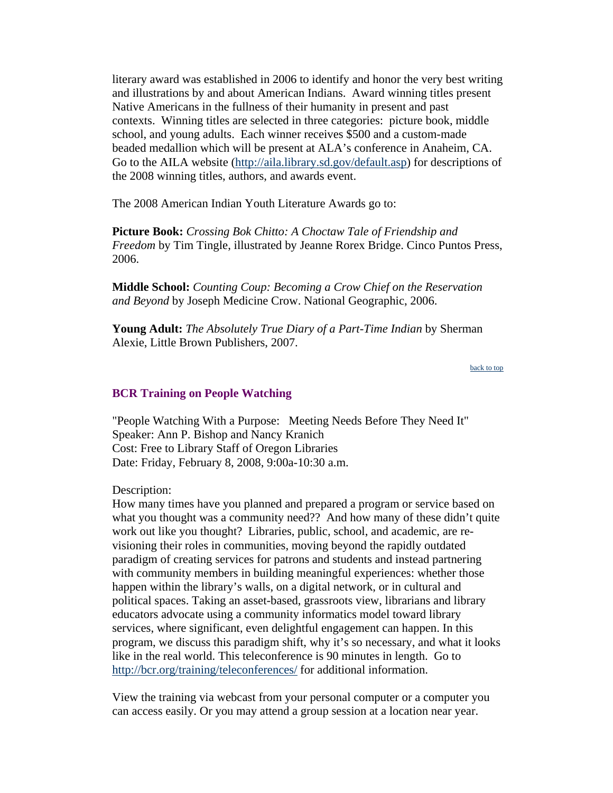<span id="page-8-0"></span>literary award was established in 2006 to identify and honor the very best writing and illustrations by and about American Indians. Award winning titles present Native Americans in the fullness of their humanity in present and past contexts. Winning titles are selected in three categories: picture book, middle school, and young adults. Each winner receives \$500 and a custom-made beaded medallion which will be present at ALA's conference in Anaheim, CA. Go to the AILA website [\(http://aila.library.sd.gov/default.asp](http://aila.library.sd.gov/default.asp)) for descriptions of the 2008 winning titles, authors, and awards event.

The 2008 American Indian Youth Literature Awards go to:

**Picture Book:** *Crossing Bok Chitto: A Choctaw Tale of Friendship and Freedom* by Tim Tingle, illustrated by Jeanne Rorex Bridge. Cinco Puntos Press, 2006.

**Middle School:** *Counting Coup: Becoming a Crow Chief on the Reservation and Beyond* by Joseph Medicine Crow. National Geographic, 2006.

**Young Adult:** *The Absolutely True Diary of a Part-Time Indian* by Sherman Alexie, Little Brown Publishers, 2007.

#### [back to top](#page-0-0)

#### **BCR Training on People Watching**

"People Watching With a Purpose: Meeting Needs Before They Need It" Speaker: Ann P. Bishop and Nancy Kranich Cost: Free to Library Staff of Oregon Libraries Date: Friday, February 8, 2008, 9:00a-10:30 a.m.

Description:

How many times have you planned and prepared a program or service based on what you thought was a community need?? And how many of these didn't quite work out like you thought? Libraries, public, school, and academic, are revisioning their roles in communities, moving beyond the rapidly outdated paradigm of creating services for patrons and students and instead partnering with community members in building meaningful experiences: whether those happen within the library's walls, on a digital network, or in cultural and political spaces. Taking an asset-based, grassroots view, librarians and library educators advocate using a community informatics model toward library services, where significant, even delightful engagement can happen. In this program, we discuss this paradigm shift, why it's so necessary, and what it looks like in the real world. This teleconference is 90 minutes in length. Go to <http://bcr.org/training/teleconferences/> for additional information.

View the training via webcast from your personal computer or a computer you can access easily. Or you may attend a group session at a location near year.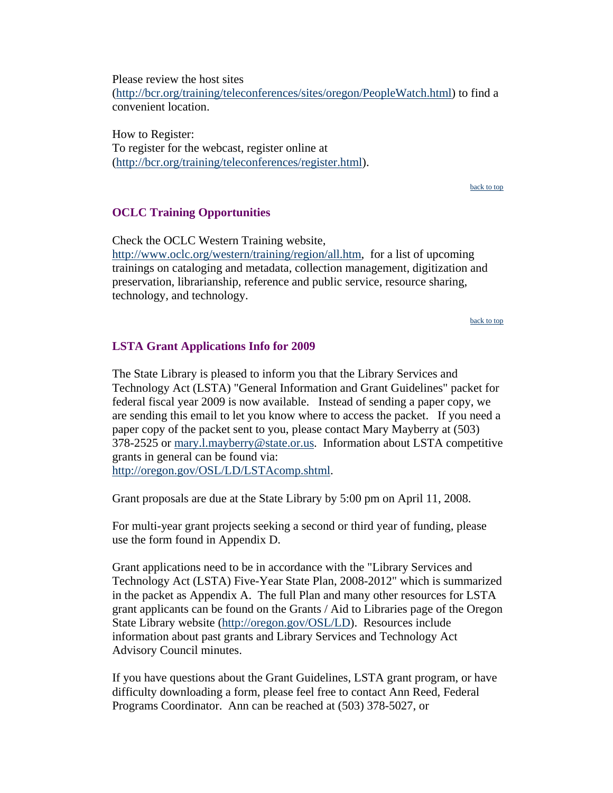<span id="page-9-0"></span>Please review the host sites [\(http://bcr.org/training/teleconferences/sites/oregon/PeopleWatch.html](http://bcr.org/training/teleconferences/sites/oregon/PeopleWatch.html)) to find a convenient location.

How to Register: To register for the webcast, register online at [\(http://bcr.org/training/teleconferences/register.html\)](http://bcr.org/training/teleconferences/register.html).

[back to top](#page-0-0)

#### **OCLC Training Opportunities**

Check the OCLC Western Training website, [http://www.oclc.org/western/training/region/all.htm,](http://www.oclc.org/western/training/region/all.htm) for a list of upcoming trainings on cataloging and metadata, collection management, digitization and preservation, librarianship, reference and public service, resource sharing, technology, and technology.

[back to top](#page-0-0)

#### **LSTA Grant Applications Info for 2009**

The State Library is pleased to inform you that the Library Services and Technology Act (LSTA) "General Information and Grant Guidelines" packet for federal fiscal year 2009 is now available. Instead of sending a paper copy, we are sending this email to let you know where to access the packet. If you need a paper copy of the packet sent to you, please contact Mary Mayberry at (503) 378-2525 or [mary.l.mayberry@state.or.us.](mailto:mary.l.mayberry@state.or.us) Information about LSTA competitive grants in general can be found via: <http://oregon.gov/OSL/LD/LSTAcomp.shtml>.

Grant proposals are due at the State Library by 5:00 pm on April 11, 2008.

For multi-year grant projects seeking a second or third year of funding, please use the form found in Appendix D.

Grant applications need to be in accordance with the "Library Services and Technology Act (LSTA) Five-Year State Plan, 2008-2012" which is summarized in the packet as Appendix A. The full Plan and many other resources for LSTA grant applicants can be found on the Grants / Aid to Libraries page of the Oregon State Library website (<http://oregon.gov/OSL/LD>). Resources include information about past grants and Library Services and Technology Act Advisory Council minutes.

If you have questions about the Grant Guidelines, LSTA grant program, or have difficulty downloading a form, please feel free to contact Ann Reed, Federal Programs Coordinator. Ann can be reached at (503) 378-5027, or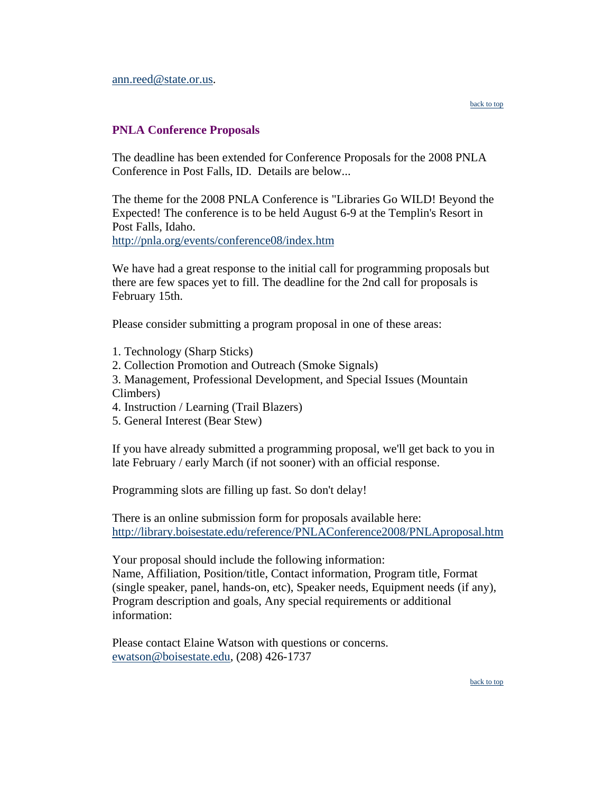#### <span id="page-10-0"></span>**PNLA Conference Proposals**

The deadline has been extended for Conference Proposals for the 2008 PNLA Conference in Post Falls, ID. Details are below...

The theme for the 2008 PNLA Conference is "Libraries Go WILD! Beyond the Expected! The conference is to be held August 6-9 at the Templin's Resort in Post Falls, Idaho.

<http://pnla.org/events/conference08/index.htm>

We have had a great response to the initial call for programming proposals but there are few spaces yet to fill. The deadline for the 2nd call for proposals is February 15th.

Please consider submitting a program proposal in one of these areas:

- 1. Technology (Sharp Sticks)
- 2. Collection Promotion and Outreach (Smoke Signals)
- 3. Management, Professional Development, and Special Issues (Mountain Climbers)
- 4. Instruction / Learning (Trail Blazers)
- 5. General Interest (Bear Stew)

If you have already submitted a programming proposal, we'll get back to you in late February / early March (if not sooner) with an official response.

Programming slots are filling up fast. So don't delay!

There is an online submission form for proposals available here: [http://library.boisestate.edu/reference/PNLAConference2008/PNLAproposal.htm](http://library.boisestate.edu/reference/PNLAConference2008/PNLAproposal)

Your proposal should include the following information: Name, Affiliation, Position/title, Contact information, Program title, Format (single speaker, panel, hands-on, etc), Speaker needs, Equipment needs (if any), Program description and goals, Any special requirements or additional information:

Please contact Elaine Watson with questions or concerns. [ewatson@boisestate.edu](mailto:ewatson@boisestate.edu), (208) 426-1737

[back to top](#page-0-0)